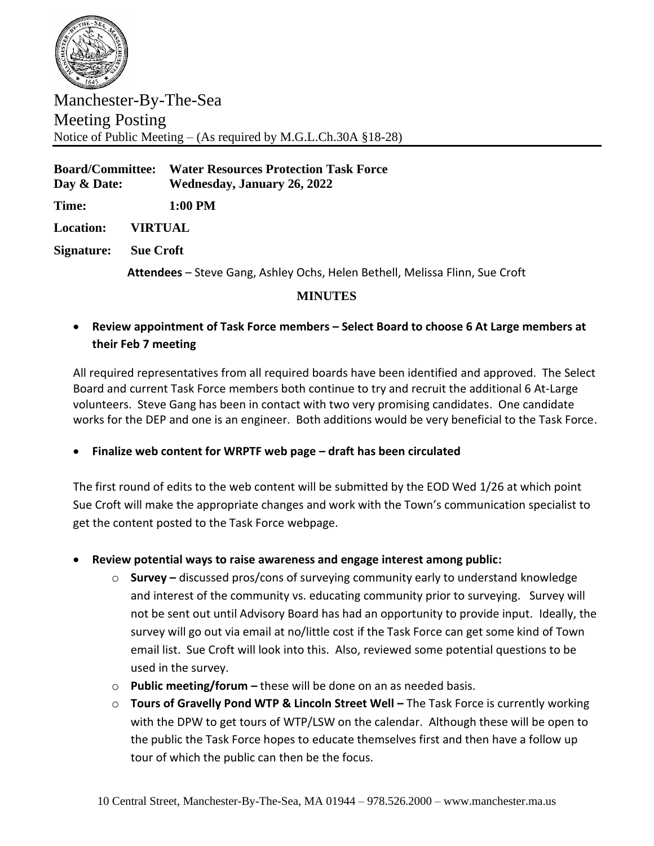

Manchester-By-The-Sea Meeting Posting Notice of Public Meeting – (As required by M.G.L.Ch.30A §18-28)

**Board/Committee: Water Resources Protection Task Force Day & Date: Wednesday, January 26, 2022 Time: 1:00 PM Location: VIRTUAL Signature: Sue Croft**

**Attendees** – Steve Gang, Ashley Ochs, Helen Bethell, Melissa Flinn, Sue Croft

## **MINUTES**

• **Review appointment of Task Force members – Select Board to choose 6 At Large members at their Feb 7 meeting**

All required representatives from all required boards have been identified and approved. The Select Board and current Task Force members both continue to try and recruit the additional 6 At-Large volunteers. Steve Gang has been in contact with two very promising candidates. One candidate works for the DEP and one is an engineer. Both additions would be very beneficial to the Task Force.

• **Finalize web content for WRPTF web page – draft has been circulated**

The first round of edits to the web content will be submitted by the EOD Wed 1/26 at which point Sue Croft will make the appropriate changes and work with the Town's communication specialist to get the content posted to the Task Force webpage.

- **Review potential ways to raise awareness and engage interest among public:**
	- o **Survey –** discussed pros/cons of surveying community early to understand knowledge and interest of the community vs. educating community prior to surveying. Survey will not be sent out until Advisory Board has had an opportunity to provide input. Ideally, the survey will go out via email at no/little cost if the Task Force can get some kind of Town email list. Sue Croft will look into this. Also, reviewed some potential questions to be used in the survey.
	- o **Public meeting/forum –** these will be done on an as needed basis.
	- o **Tours of Gravelly Pond WTP & Lincoln Street Well –** The Task Force is currently working with the DPW to get tours of WTP/LSW on the calendar. Although these will be open to the public the Task Force hopes to educate themselves first and then have a follow up tour of which the public can then be the focus.